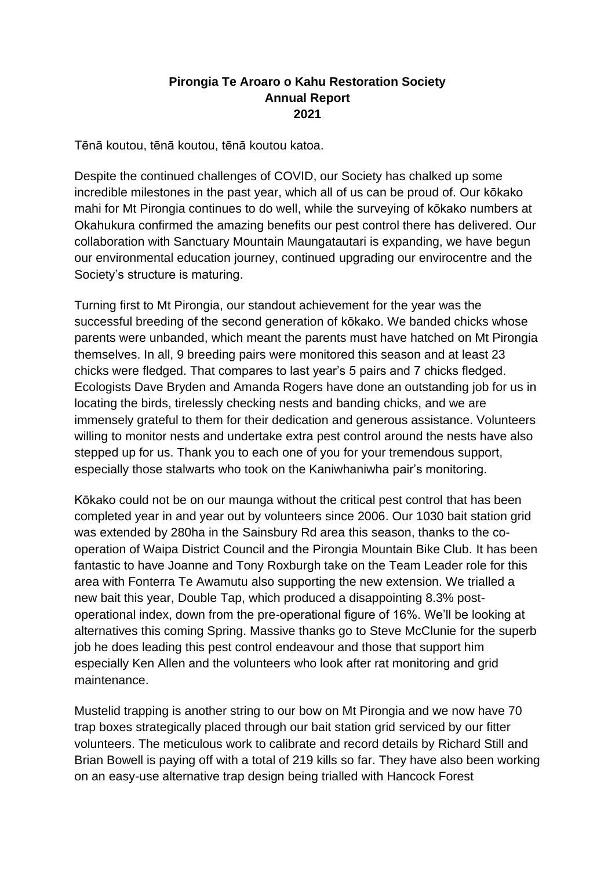## **Pirongia Te Aroaro o Kahu Restoration Society Annual Report 2021**

Tēnā koutou, tēnā koutou, tēnā koutou katoa.

Despite the continued challenges of COVID, our Society has chalked up some incredible milestones in the past year, which all of us can be proud of. Our kōkako mahi for Mt Pirongia continues to do well, while the surveying of kōkako numbers at Okahukura confirmed the amazing benefits our pest control there has delivered. Our collaboration with Sanctuary Mountain Maungatautari is expanding, we have begun our environmental education journey, continued upgrading our envirocentre and the Society's structure is maturing.

Turning first to Mt Pirongia, our standout achievement for the year was the successful breeding of the second generation of kōkako. We banded chicks whose parents were unbanded, which meant the parents must have hatched on Mt Pirongia themselves. In all, 9 breeding pairs were monitored this season and at least 23 chicks were fledged. That compares to last year's 5 pairs and 7 chicks fledged. Ecologists Dave Bryden and Amanda Rogers have done an outstanding job for us in locating the birds, tirelessly checking nests and banding chicks, and we are immensely grateful to them for their dedication and generous assistance. Volunteers willing to monitor nests and undertake extra pest control around the nests have also stepped up for us. Thank you to each one of you for your tremendous support, especially those stalwarts who took on the Kaniwhaniwha pair's monitoring.

Kōkako could not be on our maunga without the critical pest control that has been completed year in and year out by volunteers since 2006. Our 1030 bait station grid was extended by 280ha in the Sainsbury Rd area this season, thanks to the cooperation of Waipa District Council and the Pirongia Mountain Bike Club. It has been fantastic to have Joanne and Tony Roxburgh take on the Team Leader role for this area with Fonterra Te Awamutu also supporting the new extension. We trialled a new bait this year, Double Tap, which produced a disappointing 8.3% postoperational index, down from the pre-operational figure of 16%. We'll be looking at alternatives this coming Spring. Massive thanks go to Steve McClunie for the superb job he does leading this pest control endeavour and those that support him especially Ken Allen and the volunteers who look after rat monitoring and grid maintenance.

Mustelid trapping is another string to our bow on Mt Pirongia and we now have 70 trap boxes strategically placed through our bait station grid serviced by our fitter volunteers. The meticulous work to calibrate and record details by Richard Still and Brian Bowell is paying off with a total of 219 kills so far. They have also been working on an easy-use alternative trap design being trialled with Hancock Forest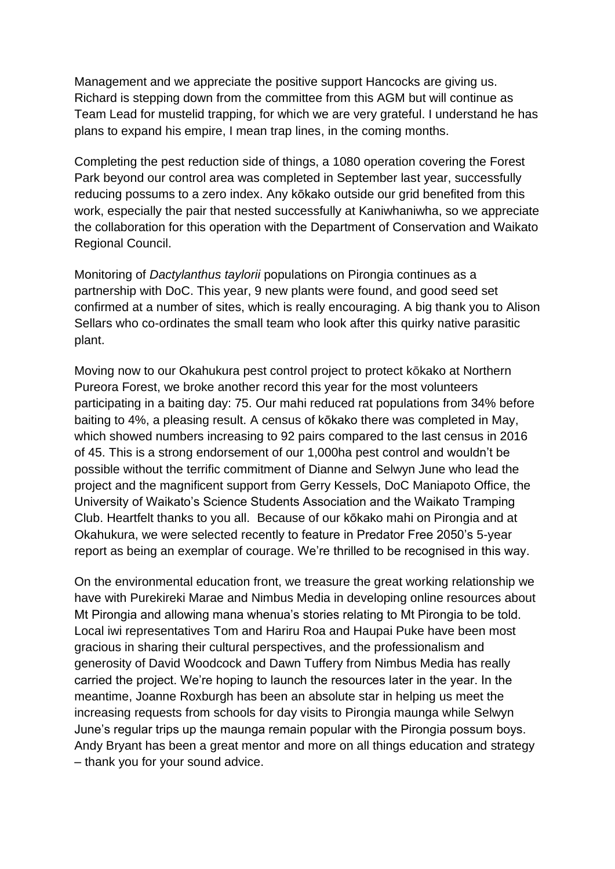Management and we appreciate the positive support Hancocks are giving us. Richard is stepping down from the committee from this AGM but will continue as Team Lead for mustelid trapping, for which we are very grateful. I understand he has plans to expand his empire, I mean trap lines, in the coming months.

Completing the pest reduction side of things, a 1080 operation covering the Forest Park beyond our control area was completed in September last year, successfully reducing possums to a zero index. Any kōkako outside our grid benefited from this work, especially the pair that nested successfully at Kaniwhaniwha, so we appreciate the collaboration for this operation with the Department of Conservation and Waikato Regional Council.

Monitoring of *Dactylanthus taylorii* populations on Pirongia continues as a partnership with DoC. This year, 9 new plants were found, and good seed set confirmed at a number of sites, which is really encouraging. A big thank you to Alison Sellars who co-ordinates the small team who look after this quirky native parasitic plant.

Moving now to our Okahukura pest control project to protect kōkako at Northern Pureora Forest, we broke another record this year for the most volunteers participating in a baiting day: 75. Our mahi reduced rat populations from 34% before baiting to 4%, a pleasing result. A census of kōkako there was completed in May, which showed numbers increasing to 92 pairs compared to the last census in 2016 of 45. This is a strong endorsement of our 1,000ha pest control and wouldn't be possible without the terrific commitment of Dianne and Selwyn June who lead the project and the magnificent support from Gerry Kessels, DoC Maniapoto Office, the University of Waikato's Science Students Association and the Waikato Tramping Club. Heartfelt thanks to you all. Because of our kōkako mahi on Pirongia and at Okahukura, we were selected recently to feature in Predator Free 2050's 5-year report as being an exemplar of courage. We're thrilled to be recognised in this way.

On the environmental education front, we treasure the great working relationship we have with Purekireki Marae and Nimbus Media in developing online resources about Mt Pirongia and allowing mana whenua's stories relating to Mt Pirongia to be told. Local iwi representatives Tom and Hariru Roa and Haupai Puke have been most gracious in sharing their cultural perspectives, and the professionalism and generosity of David Woodcock and Dawn Tuffery from Nimbus Media has really carried the project. We're hoping to launch the resources later in the year. In the meantime, Joanne Roxburgh has been an absolute star in helping us meet the increasing requests from schools for day visits to Pirongia maunga while Selwyn June's regular trips up the maunga remain popular with the Pirongia possum boys. Andy Bryant has been a great mentor and more on all things education and strategy – thank you for your sound advice.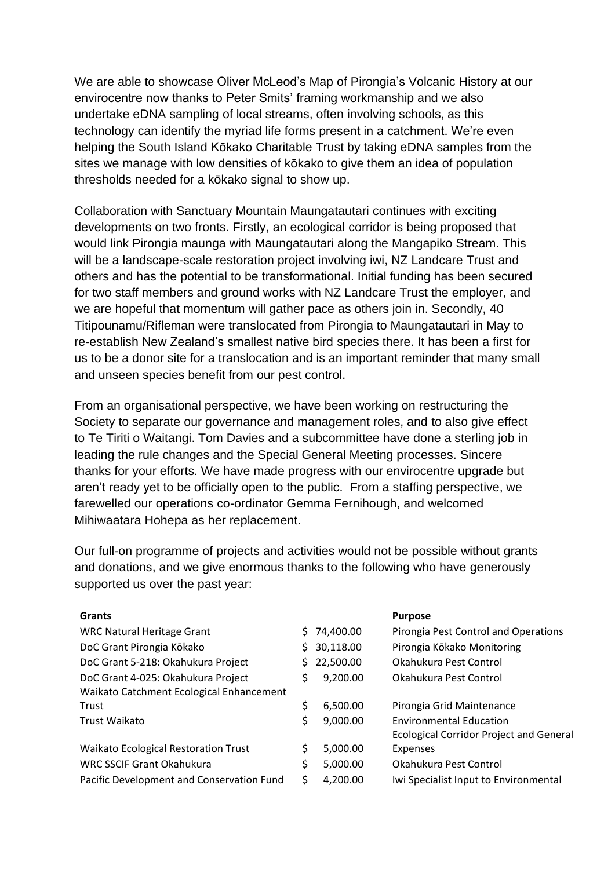We are able to showcase Oliver McLeod's Map of Pirongia's Volcanic History at our envirocentre now thanks to Peter Smits' framing workmanship and we also undertake eDNA sampling of local streams, often involving schools, as this technology can identify the myriad life forms present in a catchment. We're even helping the South Island Kōkako Charitable Trust by taking eDNA samples from the sites we manage with low densities of kōkako to give them an idea of population thresholds needed for a kōkako signal to show up.

Collaboration with Sanctuary Mountain Maungatautari continues with exciting developments on two fronts. Firstly, an ecological corridor is being proposed that would link Pirongia maunga with Maungatautari along the Mangapiko Stream. This will be a landscape-scale restoration project involving iwi, NZ Landcare Trust and others and has the potential to be transformational. Initial funding has been secured for two staff members and ground works with NZ Landcare Trust the employer, and we are hopeful that momentum will gather pace as others join in. Secondly, 40 Titipounamu/Rifleman were translocated from Pirongia to Maungatautari in May to re-establish New Zealand's smallest native bird species there. It has been a first for us to be a donor site for a translocation and is an important reminder that many small and unseen species benefit from our pest control.

From an organisational perspective, we have been working on restructuring the Society to separate our governance and management roles, and to also give effect to Te Tiriti o Waitangi. Tom Davies and a subcommittee have done a sterling job in leading the rule changes and the Special General Meeting processes. Sincere thanks for your efforts. We have made progress with our envirocentre upgrade but aren't ready yet to be officially open to the public. From a staffing perspective, we farewelled our operations co-ordinator Gemma Fernihough, and welcomed Mihiwaatara Hohepa as her replacement.

Our full-on programme of projects and activities would not be possible without grants and donations, and we give enormous thanks to the following who have generously supported us over the past year:

| <b>Grants</b>                                                                  |                | <b>Purpose</b>                                                                   |
|--------------------------------------------------------------------------------|----------------|----------------------------------------------------------------------------------|
| <b>WRC Natural Heritage Grant</b>                                              | 74,400.00      | Pirongia Pest Control and Operations                                             |
| DoC Grant Pirongia Kōkako                                                      | 30,118.00      | Pirongia Kōkako Monitoring                                                       |
| DoC Grant 5-218: Okahukura Project                                             | 22,500.00      | Okahukura Pest Control                                                           |
| DoC Grant 4-025: Okahukura Project<br>Waikato Catchment Ecological Enhancement | \$<br>9,200.00 | Okahukura Pest Control                                                           |
| Trust                                                                          | \$<br>6,500.00 | Pirongia Grid Maintenance                                                        |
| <b>Trust Waikato</b>                                                           | \$<br>9,000.00 | <b>Environmental Education</b><br><b>Ecological Corridor Project and General</b> |
| Waikato Ecological Restoration Trust                                           | \$<br>5,000.00 | Expenses                                                                         |
| <b>WRC SSCIF Grant Okahukura</b>                                               | \$<br>5,000.00 | Okahukura Pest Control                                                           |
| Pacific Development and Conservation Fund                                      | \$<br>4,200.00 | Iwi Specialist Input to Environmental                                            |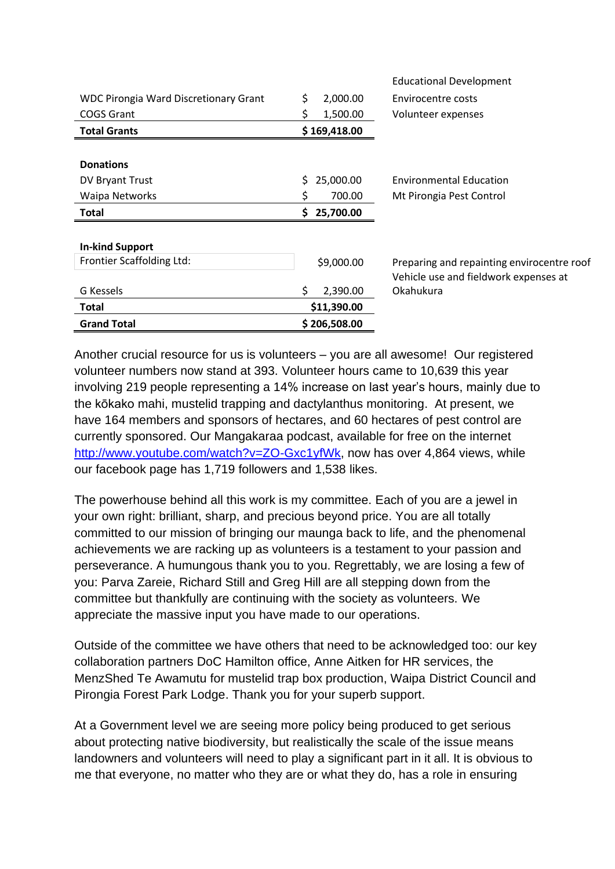| <b>Grand Total</b>                                  | \$206,508.00    |                                                    |
|-----------------------------------------------------|-----------------|----------------------------------------------------|
| Total                                               | \$11,390.00     |                                                    |
| G Kessels                                           | \$<br>2,390.00  | Vehicle use and fieldwork expenses at<br>Okahukura |
| <b>In-kind Support</b><br>Frontier Scaffolding Ltd: | \$9,000.00      | Preparing and repainting envirocentre roof         |
| <b>Total</b>                                        | 25,700.00<br>\$ |                                                    |
| Waipa Networks                                      | \$              | 700.00<br>Mt Pirongia Pest Control                 |
| DV Bryant Trust                                     | 25,000.00<br>S. | <b>Environmental Education</b>                     |
| <b>Donations</b>                                    |                 |                                                    |
| <b>Total Grants</b>                                 | \$169,418.00    |                                                    |
| <b>COGS Grant</b>                                   | 1,500.00<br>S   | Volunteer expenses                                 |
| <b>WDC Pirongia Ward Discretionary Grant</b>        | \$<br>2,000.00  | Envirocentre costs                                 |
|                                                     |                 | <b>Educational Development</b>                     |

Another crucial resource for us is volunteers – you are all awesome! Our registered volunteer numbers now stand at 393. Volunteer hours came to 10,639 this year involving 219 people representing a 14% increase on last year's hours, mainly due to the kōkako mahi, mustelid trapping and dactylanthus monitoring. At present, we have 164 members and sponsors of hectares, and 60 hectares of pest control are currently sponsored. Our Mangakaraa podcast, available for free on the internet [http://www.youtube.com/watch?v=ZO-Gxc1yfWk,](http://www.youtube.com/watch?v=ZO-Gxc1yfWk) now has over 4,864 views, while our facebook page has 1,719 followers and 1,538 likes.

The powerhouse behind all this work is my committee. Each of you are a jewel in your own right: brilliant, sharp, and precious beyond price. You are all totally committed to our mission of bringing our maunga back to life, and the phenomenal achievements we are racking up as volunteers is a testament to your passion and perseverance. A humungous thank you to you. Regrettably, we are losing a few of you: Parva Zareie, Richard Still and Greg Hill are all stepping down from the committee but thankfully are continuing with the society as volunteers. We appreciate the massive input you have made to our operations.

Outside of the committee we have others that need to be acknowledged too: our key collaboration partners DoC Hamilton office, Anne Aitken for HR services, the MenzShed Te Awamutu for mustelid trap box production, Waipa District Council and Pirongia Forest Park Lodge. Thank you for your superb support.

At a Government level we are seeing more policy being produced to get serious about protecting native biodiversity, but realistically the scale of the issue means landowners and volunteers will need to play a significant part in it all. It is obvious to me that everyone, no matter who they are or what they do, has a role in ensuring